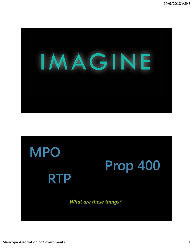

# **MPO Prop 400 RTP** *What are these things?*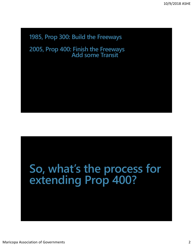#### **1985, Prop 300: Build the Freeways**

**2005, Prop 400: Finish the Freeways Add some Transit**

### **So, what's the process for extending Prop 400?**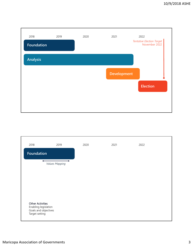

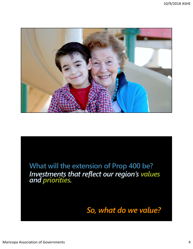

**What will the extension of Prop 400 be?** *Investments that reflect our region's values and priorities.*

*So, what do we value?*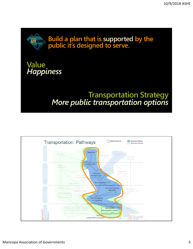

#### **Value** *Happiness*

## **Transportation Strategy** *More public transportation options*

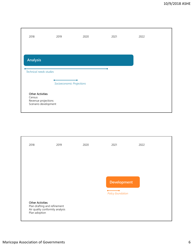

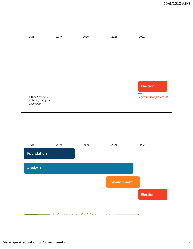

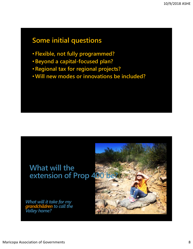#### **Some initial questions**

- **Flexible, not fully programmed?**
- **Beyond a capital-focused plan?**
- **Regional tax for regional projects?**
- **Will new modes or innovations be included?**

#### **What will the extension of Prop 400**

*What will it take for my grandchildren to call the Valley home?*